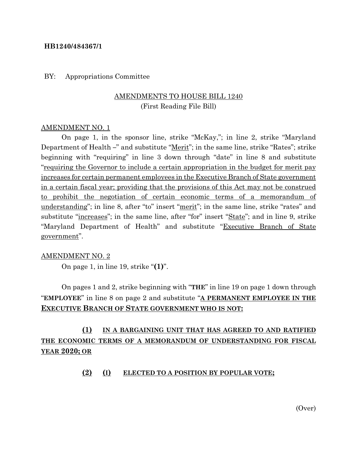## **HB1240/484367/1**

## BY: Appropriations Committee

# AMENDMENTS TO HOUSE BILL 1240 (First Reading File Bill)

## AMENDMENT NO. 1

On page 1, in the sponsor line, strike "McKay,"; in line 2, strike "Maryland Department of Health –" and substitute "<u>Merit</u>"; in the same line, strike "Rates"; strike beginning with "requiring" in line 3 down through "date" in line 8 and substitute "requiring the Governor to include a certain appropriation in the budget for merit pay increases for certain permanent employees in the Executive Branch of State government in a certain fiscal year; providing that the provisions of this Act may not be construed to prohibit the negotiation of certain economic terms of a memorandum of understanding"; in line 8, after "to" insert "merit"; in the same line, strike "rates" and substitute "increases"; in the same line, after "for" insert "State"; and in line 9, strike "Maryland Department of Health" and substitute "Executive Branch of State government".

#### AMENDMENT NO. 2

On page 1, in line 19, strike "**(1)**".

On pages 1 and 2, strike beginning with "**THE**" in line 19 on page 1 down through "**EMPLOYEE**" in line 8 on page 2 and substitute "**A PERMANENT EMPLOYEE IN THE EXECUTIVE BRANCH OF STATE GOVERNMENT WHO IS NOT:**

**(1) IN A BARGAINING UNIT THAT HAS AGREED TO AND RATIFIED THE ECONOMIC TERMS OF A MEMORANDUM OF UNDERSTANDING FOR FISCAL YEAR 2020; OR**

#### **(2) (I) ELECTED TO A POSITION BY POPULAR VOTE;**

(Over)